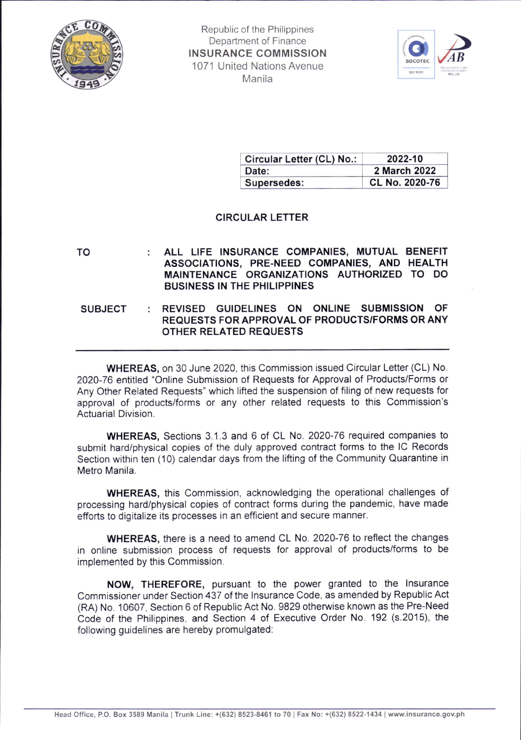



| Circular Letter (CL) No.: | 2022-10        |
|---------------------------|----------------|
| Date:                     | 2 March 2022   |
| Supersedes:               | CL No. 2020-76 |

# CIRCULAR LETTER

TO ALL LIFE INSURANCE COMPANIES, MUTUAL BENEFIT ASSOCIATIONS, PRE.NEED COMPANIES, AND HEALTH MAINTENANCE ORGANIZATIONS AUTHORIZED TO DO BUSINESS IN THE PHILIPPINES

REVISED GUIDELINES ON ONLINE SUBMISSION OF REQUESTS FOR APPROVAL OF PRODUCTS/FORMS OR ANY OTHER RELATED REQUESTS **SUBJECT** 

WHEREAS, on 30 June 2020, this Commission issued Circular Letter (CL) No, 2020-76 entitled "Online Submission of Requests for Approval of Products/Forms or Any Other Related Requests" which lifted the suspension of filing of new requests for approval of products/forms or any other related requests to this Commission's Actuarial Division.

WHEREAS, Sections 3.1.3 and 6 of CL No. 2020-76 required companies to submit hard/physical copies of the duly approved contract forms to the lC Records Section within ten (10) calendar days from the lifting of the Community Quarantine in Metro Manila.

WHEREAS, this Commission, acknowledging the operational challenges of processing hard/physical copies of contract forms during the pandemic, have made efforts to digitalize its processes in an efficient and secure manner.

WHEREAS, there is a need to amend CL No. 2020-76 to reflect the changes in online submission process of requests for approval of products/forms to be implemented by this Commission.

NOW, THEREFORE, pursuant to the power granted to the lnsurance Commissioner under Section 437 of the lnsurance Code, as amended by Republic Act (RA) No. 10607, Section 6 of Republic Act No. 9829 otheruise known as the Pre-Need Code of the Philippines, and Section 4 of Executive Order No. 192 (s.2015), the following guidelines are hereby promulgated: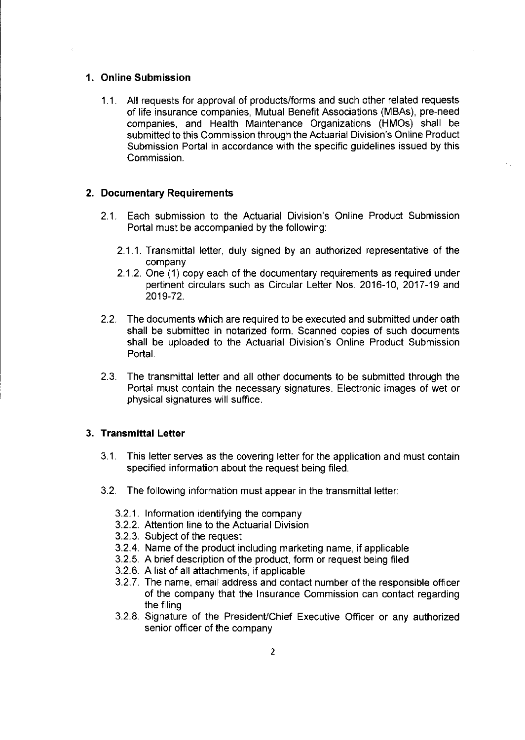#### 1. Online Submission

1.1. All requests for approval of products/forms and such other related requests of life insurance companies, Mutual Benefit Associations (MBAs), pre-need companies, and Health Maintenance Organizations (HMOs) shall be submitted to this Commission through the Actuarial Division's Online Product Submission Portal in accordance with the specific guidelines issued by this Commission.

#### 2. Documentary Requirements

- 2.1. Each submission to the Actuarial Division's Online Product Submission Portal must be accompanied by the following:
	- 2.1.1. Transmittal letter, duly signed by an authorized representative of the company
	- 2.1.2. One (1) copy each of the documentary requirements as required under pertinent circulars such as Circular Letter Nos. 2016-10, 2017-19 and 2019-72.
- 2.2. The documents which are required to be executed and submitted under oath shall be submitted in notarized form. Scanned copies of such documents shall be uploaded to the Actuarial Division's Online Product Submission Portal.
- 2.3. The transmittal letter and all other documents to be submitted through the Portal must contain the necessary signatures. Electronic images of wet or physical signatures will suffice.

## 3. Transmittal Lefter

- 3.1 . This letter serves as the covering letter for the application and must contain specified information about the request being filed.
- 3.2. The following information must appear in the transmittal letter:
	- 3.2.1. Information identifying the company
	- 3.2.2. Attention line to the Actuarial Division<br>3.2.3. Subject of the request
	- Subject of the request
	- 3.2.4 Name of the product including marketing name, if applicable
	- 3.2.5 A brief description of the product, form or request being filed
	- 3.2.6 A list of all attachments, if applicable
	- 3.2.7 The name, email address and contact number of the responsible officer of the company that the lnsurance Commission can contact regarding the filing
	- 3.2.8. Signature of the President/Chief Executive Officer or any authorized senior officer of the company